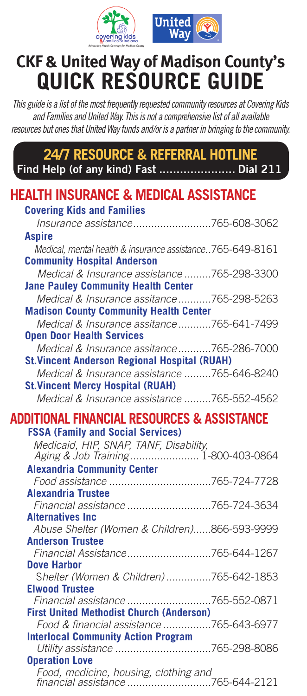



## **CKF & United Way of Madison County's QUICK RESOURCE GUIDE**

*This guide is a list of the most frequently requested community resources at Covering Kids and Families and United Way. This is not a comprehensive list of all available resources but ones that United Way funds and/or is a partner in bringing to the community.* 

**24/7 RESOURCE & REFERRAL HOTLINE Find Help (of any kind) Fast ...................... Dial 211**

| <b>HEALTH INSURANCE &amp; MEDICAL ASSISTANCE</b>                                                    |  |
|-----------------------------------------------------------------------------------------------------|--|
| <b>Covering Kids and Families</b>                                                                   |  |
| Insurance assistance765-608-3062                                                                    |  |
| <b>Aspire</b>                                                                                       |  |
| Medical, mental health & insurance assistance765-649-8161                                           |  |
| <b>Community Hospital Anderson</b>                                                                  |  |
| Medical & Insurance assistance 765-298-3300                                                         |  |
| <b>Jane Pauley Community Health Center</b>                                                          |  |
| Medical & Insurance assitance 765-298-5263                                                          |  |
| <b>Madison County Community Health Center</b>                                                       |  |
| Medical & Insurance assitance 765-641-7499                                                          |  |
| <b>Open Door Health Services</b>                                                                    |  |
| Medical & Insurance assitance765-286-7000                                                           |  |
| <b>St. Vincent Anderson Regional Hospital (RUAH)</b>                                                |  |
| Medical & Insurance assistance 765-646-8240                                                         |  |
| <b>St. Vincent Mercy Hospital (RUAH)</b>                                                            |  |
| Medical & Insurance assistance 765-552-4562                                                         |  |
| ADDITIONAL FINANCIAL RESOURCES & ASSISTANCE                                                         |  |
| <b>FSSA (Family and Social Services)</b>                                                            |  |
| Medicaid, HIP, SNAP, TANF, Disability,                                                              |  |
| Aging & Job Training 1-800-403-0864                                                                 |  |
| <b>Alexandria Community Center</b>                                                                  |  |
|                                                                                                     |  |
| <b>Alexandria Trustee</b>                                                                           |  |
| Financial assistance 765-724-3634                                                                   |  |
| <b>Alternatives Inc.</b>                                                                            |  |
| Abuse Shelter (Women & Children)866-593-9999<br><b>Anderson Trustee</b>                             |  |
|                                                                                                     |  |
| <b>Dove Harbor</b>                                                                                  |  |
| Shelter (Women & Children)765-642-1853                                                              |  |
| <b>Elwood Trustee</b>                                                                               |  |
| Financial assistance 765-552-0871                                                                   |  |
| <b>First United Methodist Church (Anderson)</b>                                                     |  |
| Food & financial assistance 765-643-6977                                                            |  |
| <b>Interlocal Community Action Program</b>                                                          |  |
|                                                                                                     |  |
|                                                                                                     |  |
| <b>Operation Love</b><br>Food, medicine, housing, clothing and<br>financial assistance 765-644-2121 |  |